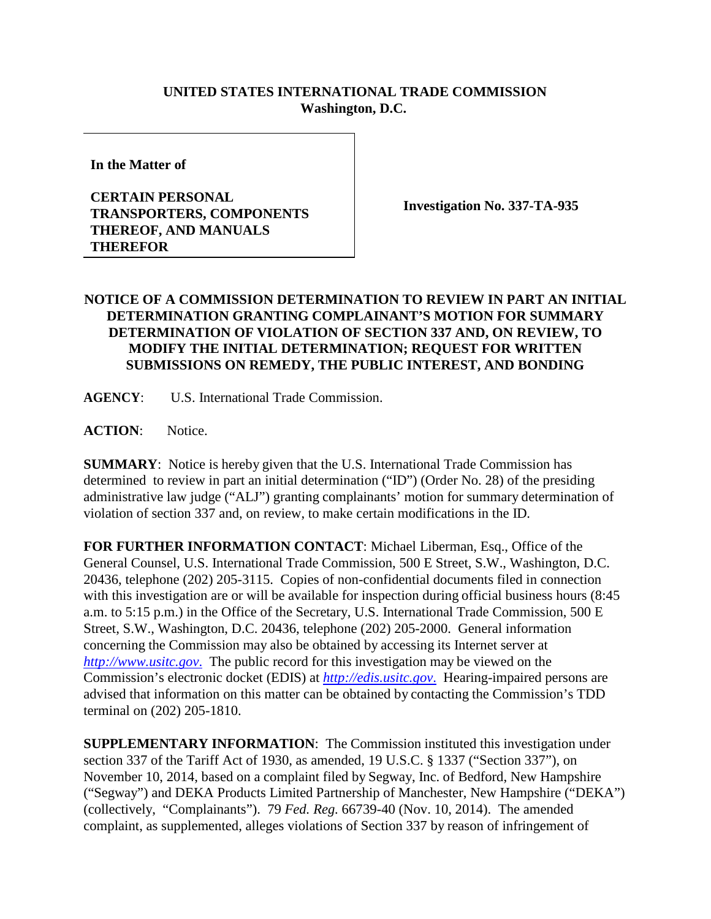## **UNITED STATES INTERNATIONAL TRADE COMMISSION Washington, D.C.**

**In the Matter of** 

## **CERTAIN PERSONAL TRANSPORTERS, COMPONENTS THEREOF, AND MANUALS THEREFOR**

**Investigation No. 337-TA-935**

## **NOTICE OF A COMMISSION DETERMINATION TO REVIEW IN PART AN INITIAL DETERMINATION GRANTING COMPLAINANT'S MOTION FOR SUMMARY DETERMINATION OF VIOLATION OF SECTION 337 AND, ON REVIEW, TO MODIFY THE INITIAL DETERMINATION; REQUEST FOR WRITTEN SUBMISSIONS ON REMEDY, THE PUBLIC INTEREST, AND BONDING**

**AGENCY**: U.S. International Trade Commission.

**ACTION**: Notice.

**SUMMARY**: Notice is hereby given that the U.S. International Trade Commission has determined to review in part an initial determination ("ID") (Order No. 28) of the presiding administrative law judge ("ALJ") granting complainants' motion for summary determination of violation of section 337 and, on review, to make certain modifications in the ID.

**FOR FURTHER INFORMATION CONTACT**: Michael Liberman, Esq., Office of the General Counsel, U.S. International Trade Commission, 500 E Street, S.W., Washington, D.C. 20436, telephone (202) 205-3115. Copies of non-confidential documents filed in connection with this investigation are or will be available for inspection during official business hours (8:45) a.m. to 5:15 p.m.) in the Office of the Secretary, U.S. International Trade Commission, 500 E Street, S.W., Washington, D.C. 20436, telephone (202) 205-2000. General information concerning the Commission may also be obtained by accessing its Internet server at *[http://www.usitc.gov](http://www.usitc.gov./)*. The public record for this investigation may be viewed on the Commission's electronic docket (EDIS) at *[http://edis.usitc.gov](http://edis.usitc.gov./)*. Hearing-impaired persons are advised that information on this matter can be obtained by contacting the Commission's TDD terminal on (202) 205-1810.

**SUPPLEMENTARY INFORMATION**: The Commission instituted this investigation under section 337 of the Tariff Act of 1930, as amended, 19 U.S.C. § 1337 ("Section 337"), on November 10, 2014, based on a complaint filed by Segway, Inc. of Bedford, New Hampshire ("Segway") and DEKA Products Limited Partnership of Manchester, New Hampshire ("DEKA") (collectively, "Complainants"). 79 *Fed. Reg.* 66739-40 (Nov. 10, 2014). The amended complaint, as supplemented, alleges violations of Section 337 by reason of infringement of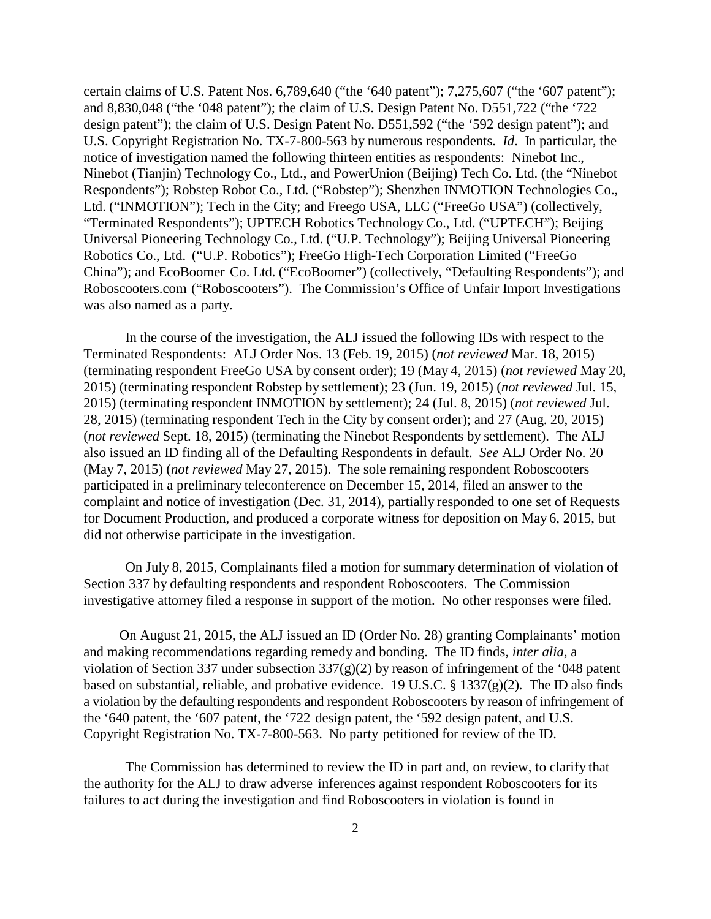certain claims of U.S. Patent Nos. 6,789,640 ("the '640 patent"); 7,275,607 ("the '607 patent"); and 8,830,048 ("the '048 patent"); the claim of U.S. Design Patent No. D551,722 ("the '722 design patent"); the claim of U.S. Design Patent No. D551,592 ("the '592 design patent"); and U.S. Copyright Registration No. TX-7-800-563 by numerous respondents. *Id*. In particular, the notice of investigation named the following thirteen entities as respondents: Ninebot Inc., Ninebot (Tianjin) Technology Co., Ltd., and PowerUnion (Beijing) Tech Co. Ltd. (the "Ninebot Respondents"); Robstep Robot Co., Ltd. ("Robstep"); Shenzhen INMOTION Technologies Co., Ltd. ("INMOTION"); Tech in the City; and Freego USA, LLC ("FreeGo USA") (collectively, "Terminated Respondents"); UPTECH Robotics Technology Co., Ltd. ("UPTECH"); Beijing Universal Pioneering Technology Co., Ltd. ("U.P. Technology"); Beijing Universal Pioneering Robotics Co., Ltd. ("U.P. Robotics"); FreeGo High-Tech Corporation Limited ("FreeGo China"); and EcoBoomer Co. Ltd. ("EcoBoomer") (collectively, "Defaulting Respondents"); and Roboscooters.com ("Roboscooters"). The Commission's Office of Unfair Import Investigations was also named as a party.

In the course of the investigation, the ALJ issued the following IDs with respect to the Terminated Respondents: ALJ Order Nos. 13 (Feb. 19, 2015) (*not reviewed* Mar. 18, 2015) (terminating respondent FreeGo USA by consent order); 19 (May 4, 2015) (*not reviewed* May 20, 2015) (terminating respondent Robstep by settlement); 23 (Jun. 19, 2015) (*not reviewed* Jul. 15, 2015) (terminating respondent INMOTION by settlement); 24 (Jul. 8, 2015) (*not reviewed* Jul. 28, 2015) (terminating respondent Tech in the City by consent order); and 27 (Aug. 20, 2015) (*not reviewed* Sept. 18, 2015) (terminating the Ninebot Respondents by settlement). The ALJ also issued an ID finding all of the Defaulting Respondents in default. *See* ALJ Order No. 20 (May 7, 2015) (*not reviewed* May 27, 2015). The sole remaining respondent Roboscooters participated in a preliminary teleconference on December 15, 2014, filed an answer to the complaint and notice of investigation (Dec. 31, 2014), partially responded to one set of Requests for Document Production, and produced a corporate witness for deposition on May 6, 2015, but did not otherwise participate in the investigation.

On July 8, 2015, Complainants filed a motion for summary determination of violation of Section 337 by defaulting respondents and respondent Roboscooters. The Commission investigative attorney filed a response in support of the motion. No other responses were filed.

On August 21, 2015, the ALJ issued an ID (Order No. 28) granting Complainants' motion and making recommendations regarding remedy and bonding. The ID finds, *inter alia*, a violation of Section 337 under subsection 337(g)(2) by reason of infringement of the '048 patent based on substantial, reliable, and probative evidence. 19 U.S.C. § 1337(g)(2). The ID also finds a violation by the defaulting respondents and respondent Roboscooters by reason of infringement of the '640 patent, the '607 patent, the '722 design patent, the '592 design patent, and U.S. Copyright Registration No. TX-7-800-563. No party petitioned for review of the ID.

The Commission has determined to review the ID in part and, on review, to clarify that the authority for the ALJ to draw adverse inferences against respondent Roboscooters for its failures to act during the investigation and find Roboscooters in violation is found in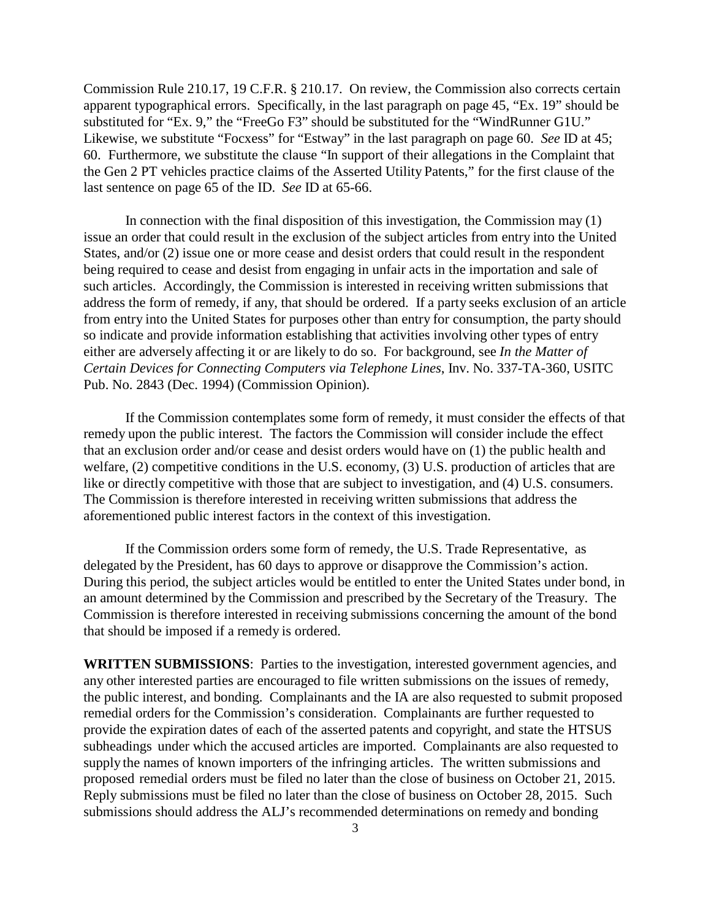Commission Rule 210.17, 19 C.F.R. § 210.17. On review, the Commission also corrects certain apparent typographical errors. Specifically, in the last paragraph on page 45, "Ex. 19" should be substituted for "Ex. 9," the "FreeGo F3" should be substituted for the "WindRunner G1U." Likewise, we substitute "Focxess" for "Estway" in the last paragraph on page 60. *See* ID at 45; 60. Furthermore, we substitute the clause "In support of their allegations in the Complaint that the Gen 2 PT vehicles practice claims of the Asserted Utility Patents," for the first clause of the last sentence on page 65 of the ID. *See* ID at 65-66.

In connection with the final disposition of this investigation, the Commission may (1) issue an order that could result in the exclusion of the subject articles from entry into the United States, and/or (2) issue one or more cease and desist orders that could result in the respondent being required to cease and desist from engaging in unfair acts in the importation and sale of such articles. Accordingly, the Commission is interested in receiving written submissions that address the form of remedy, if any, that should be ordered. If a party seeks exclusion of an article from entry into the United States for purposes other than entry for consumption, the party should so indicate and provide information establishing that activities involving other types of entry either are adversely affecting it or are likely to do so. For background, see *In the Matter of Certain Devices for Connecting Computers via Telephone Lines*, Inv. No. 337-TA-360, USITC Pub. No. 2843 (Dec. 1994) (Commission Opinion).

If the Commission contemplates some form of remedy, it must consider the effects of that remedy upon the public interest. The factors the Commission will consider include the effect that an exclusion order and/or cease and desist orders would have on (1) the public health and welfare, (2) competitive conditions in the U.S. economy, (3) U.S. production of articles that are like or directly competitive with those that are subject to investigation, and (4) U.S. consumers. The Commission is therefore interested in receiving written submissions that address the aforementioned public interest factors in the context of this investigation.

If the Commission orders some form of remedy, the U.S. Trade Representative, as delegated by the President, has 60 days to approve or disapprove the Commission's action. During this period, the subject articles would be entitled to enter the United States under bond, in an amount determined by the Commission and prescribed by the Secretary of the Treasury. The Commission is therefore interested in receiving submissions concerning the amount of the bond that should be imposed if a remedy is ordered.

**WRITTEN SUBMISSIONS**: Parties to the investigation, interested government agencies, and any other interested parties are encouraged to file written submissions on the issues of remedy, the public interest, and bonding. Complainants and the IA are also requested to submit proposed remedial orders for the Commission's consideration. Complainants are further requested to provide the expiration dates of each of the asserted patents and copyright, and state the HTSUS subheadings under which the accused articles are imported. Complainants are also requested to supply the names of known importers of the infringing articles. The written submissions and proposed remedial orders must be filed no later than the close of business on October 21, 2015. Reply submissions must be filed no later than the close of business on October 28, 2015. Such submissions should address the ALJ's recommended determinations on remedy and bonding